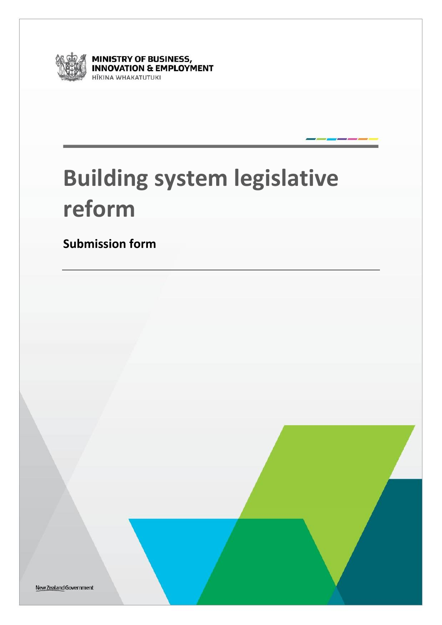

**MINISTRY OF BUSINESS,<br>INNOVATION & EMPLOYMENT** HĪKINA WHAKATUTUKI

# **Building system legislative reform**

**Submission form**

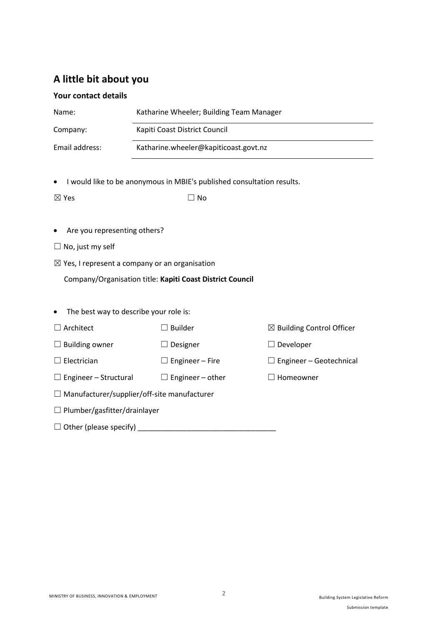# **A little bit about you**

# **Your contact details**

| Name:                                                                                                                                                                                                                          | Katharine Wheeler; Building Team Manager                               |                                      |  |  |
|--------------------------------------------------------------------------------------------------------------------------------------------------------------------------------------------------------------------------------|------------------------------------------------------------------------|--------------------------------------|--|--|
| Company:                                                                                                                                                                                                                       | Kapiti Coast District Council                                          |                                      |  |  |
| Email address:                                                                                                                                                                                                                 | Katharine.wheeler@kapiticoast.govt.nz                                  |                                      |  |  |
|                                                                                                                                                                                                                                |                                                                        |                                      |  |  |
|                                                                                                                                                                                                                                | I would like to be anonymous in MBIE's published consultation results. |                                      |  |  |
| $\boxtimes$ Yes                                                                                                                                                                                                                | $\Box$ No                                                              |                                      |  |  |
|                                                                                                                                                                                                                                |                                                                        |                                      |  |  |
| Are you representing others?                                                                                                                                                                                                   |                                                                        |                                      |  |  |
| $\Box$ No, just my self                                                                                                                                                                                                        |                                                                        |                                      |  |  |
|                                                                                                                                                                                                                                | $\boxtimes$ Yes, I represent a company or an organisation              |                                      |  |  |
| Company/Organisation title: Kapiti Coast District Council                                                                                                                                                                      |                                                                        |                                      |  |  |
|                                                                                                                                                                                                                                |                                                                        |                                      |  |  |
| The best way to describe your role is:                                                                                                                                                                                         |                                                                        |                                      |  |  |
| Architect                                                                                                                                                                                                                      | $\exists$ Builder                                                      | $\boxtimes$ Building Control Officer |  |  |
| $\Box$ Building owner                                                                                                                                                                                                          | $\Box$ Designer                                                        | $\Box$ Developer                     |  |  |
| $\Box$ Electrician                                                                                                                                                                                                             | $\Box$ Engineer – Fire                                                 | $\Box$ Engineer – Geotechnical       |  |  |
| $\Box$ Engineer – Structural                                                                                                                                                                                                   | $\Box$ Engineer – other                                                | $\Box$ Homeowner                     |  |  |
|                                                                                                                                                                                                                                | $\Box$ Manufacturer/supplier/off-site manufacturer                     |                                      |  |  |
| $\Box$ Plumber/gasfitter/drainlayer                                                                                                                                                                                            |                                                                        |                                      |  |  |
| Other (please specify) example and the contract of the contract of the contract of the contract of the contract of the contract of the contract of the contract of the contract of the contract of the contract of the contrac |                                                                        |                                      |  |  |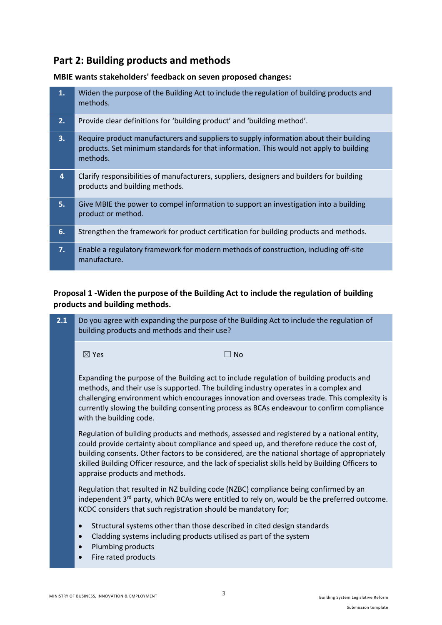# **Part 2: Building products and methods**

**MBIE wants stakeholders' feedback on seven proposed changes:**

| 1. | Widen the purpose of the Building Act to include the regulation of building products and<br>methods.                                                                                         |
|----|----------------------------------------------------------------------------------------------------------------------------------------------------------------------------------------------|
| 2. | Provide clear definitions for 'building product' and 'building method'.                                                                                                                      |
| 3. | Require product manufacturers and suppliers to supply information about their building<br>products. Set minimum standards for that information. This would not apply to building<br>methods. |
| 4  | Clarify responsibilities of manufacturers, suppliers, designers and builders for building<br>products and building methods.                                                                  |
| 5. | Give MBIE the power to compel information to support an investigation into a building<br>product or method.                                                                                  |
| 6. | Strengthen the framework for product certification for building products and methods.                                                                                                        |
| 7. | Enable a regulatory framework for modern methods of construction, including off-site<br>manufacture.                                                                                         |

# **Proposal 1 -Widen the purpose of the Building Act to include the regulation of building products and building methods.**

|                                                                                              | Do you agree with expanding the purpose of the Building Act to include the regulation of                                                                                                                                                                                                                                                                                                     |
|----------------------------------------------------------------------------------------------|----------------------------------------------------------------------------------------------------------------------------------------------------------------------------------------------------------------------------------------------------------------------------------------------------------------------------------------------------------------------------------------------|
| $\boxtimes$ Yes                                                                              | $\Box$ No                                                                                                                                                                                                                                                                                                                                                                                    |
| with the building code.                                                                      | Expanding the purpose of the Building act to include regulation of building products and<br>methods, and their use is supported. The building industry operates in a complex and<br>challenging environment which encourages innovation and overseas trade. This complexity is<br>currently slowing the building consenting process as BCAs endeavour to confirm compliance                  |
| appraise products and methods.                                                               | Regulation of building products and methods, assessed and registered by a national entity,<br>could provide certainty about compliance and speed up, and therefore reduce the cost of,<br>building consents. Other factors to be considered, are the national shortage of appropriately<br>skilled Building Officer resource, and the lack of specialist skills held by Building Officers to |
|                                                                                              | Regulation that resulted in NZ building code (NZBC) compliance being confirmed by an<br>independent 3 <sup>rd</sup> party, which BCAs were entitled to rely on, would be the preferred outcome.                                                                                                                                                                                              |
| $\bullet$<br>$\bullet$<br>Plumbing products<br>$\bullet$<br>Fire rated products<br>$\bullet$ |                                                                                                                                                                                                                                                                                                                                                                                              |
|                                                                                              | building products and methods and their use?<br>KCDC considers that such registration should be mandatory for;<br>Structural systems other than those described in cited design standards<br>Cladding systems including products utilised as part of the system                                                                                                                              |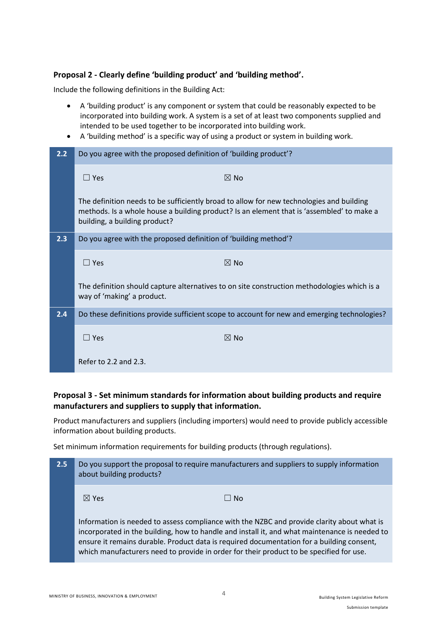## **Proposal 2 - Clearly define 'building product' and 'building method'.**

Include the following definitions in the Building Act:

- A 'building product' is any component or system that could be reasonably expected to be incorporated into building work. A system is a set of at least two components supplied and intended to be used together to be incorporated into building work.
- A 'building method' is a specific way of using a product or system in building work.

| 2.2 | Do you agree with the proposed definition of 'building product'? |                                                                                                                                                                                       |
|-----|------------------------------------------------------------------|---------------------------------------------------------------------------------------------------------------------------------------------------------------------------------------|
|     | $\Box$ Yes                                                       | $\boxtimes$ No                                                                                                                                                                        |
|     | building, a building product?                                    | The definition needs to be sufficiently broad to allow for new technologies and building<br>methods. Is a whole house a building product? Is an element that is 'assembled' to make a |
| 2.3 | Do you agree with the proposed definition of 'building method'?  |                                                                                                                                                                                       |
|     | $\Box$ Yes                                                       | $\boxtimes$ No                                                                                                                                                                        |
|     | way of 'making' a product.                                       | The definition should capture alternatives to on site construction methodologies which is a                                                                                           |
| 2.4 |                                                                  | Do these definitions provide sufficient scope to account for new and emerging technologies?                                                                                           |
|     | $\Box$ Yes                                                       | $\boxtimes$ No                                                                                                                                                                        |
|     | Refer to $2.2$ and $2.3$ .                                       |                                                                                                                                                                                       |

# **Proposal 3 - Set minimum standards for information about building products and require manufacturers and suppliers to supply that information.**

Product manufacturers and suppliers (including importers) would need to provide publicly accessible information about building products.

Set minimum information requirements for building products (through regulations).

| 2.5 | Do you support the proposal to require manufacturers and suppliers to supply information<br>about building products?                                                                                                                                                                                                                                                                |
|-----|-------------------------------------------------------------------------------------------------------------------------------------------------------------------------------------------------------------------------------------------------------------------------------------------------------------------------------------------------------------------------------------|
|     | $\boxtimes$ Yes<br>$\Box$ No                                                                                                                                                                                                                                                                                                                                                        |
|     | Information is needed to assess compliance with the NZBC and provide clarity about what is<br>incorporated in the building, how to handle and install it, and what maintenance is needed to<br>ensure it remains durable. Product data is required documentation for a building consent,<br>which manufacturers need to provide in order for their product to be specified for use. |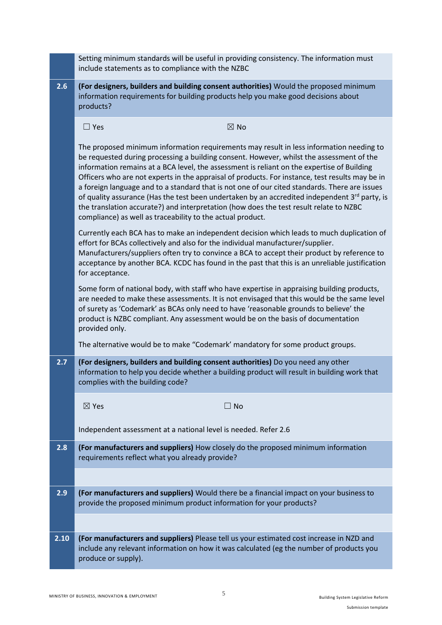|      | Setting minimum standards will be useful in providing consistency. The information must<br>include statements as to compliance with the NZBC                                                                                                                                                                                                                                                                                                                                                                                                                                                                                                                                                                                                        |
|------|-----------------------------------------------------------------------------------------------------------------------------------------------------------------------------------------------------------------------------------------------------------------------------------------------------------------------------------------------------------------------------------------------------------------------------------------------------------------------------------------------------------------------------------------------------------------------------------------------------------------------------------------------------------------------------------------------------------------------------------------------------|
| 2.6  | (For designers, builders and building consent authorities) Would the proposed minimum<br>information requirements for building products help you make good decisions about<br>products?                                                                                                                                                                                                                                                                                                                                                                                                                                                                                                                                                             |
|      | $\boxtimes$ No<br>$\Box$ Yes                                                                                                                                                                                                                                                                                                                                                                                                                                                                                                                                                                                                                                                                                                                        |
|      | The proposed minimum information requirements may result in less information needing to<br>be requested during processing a building consent. However, whilst the assessment of the<br>information remains at a BCA level, the assessment is reliant on the expertise of Building<br>Officers who are not experts in the appraisal of products. For instance, test results may be in<br>a foreign language and to a standard that is not one of our cited standards. There are issues<br>of quality assurance (Has the test been undertaken by an accredited independent $3^{rd}$ party, is<br>the translation accurate?) and interpretation (how does the test result relate to NZBC<br>compliance) as well as traceability to the actual product. |
|      | Currently each BCA has to make an independent decision which leads to much duplication of<br>effort for BCAs collectively and also for the individual manufacturer/supplier.<br>Manufacturers/suppliers often try to convince a BCA to accept their product by reference to<br>acceptance by another BCA. KCDC has found in the past that this is an unreliable justification<br>for acceptance.                                                                                                                                                                                                                                                                                                                                                    |
|      | Some form of national body, with staff who have expertise in appraising building products,<br>are needed to make these assessments. It is not envisaged that this would be the same level<br>of surety as 'Codemark' as BCAs only need to have 'reasonable grounds to believe' the<br>product is NZBC compliant. Any assessment would be on the basis of documentation<br>provided only.                                                                                                                                                                                                                                                                                                                                                            |
|      | The alternative would be to make "Codemark' mandatory for some product groups.                                                                                                                                                                                                                                                                                                                                                                                                                                                                                                                                                                                                                                                                      |
| 2.7  | (For designers, builders and building consent authorities) Do you need any other<br>information to help you decide whether a building product will result in building work that<br>complies with the building code?                                                                                                                                                                                                                                                                                                                                                                                                                                                                                                                                 |
|      | $\boxtimes$ Yes<br>$\Box$ No                                                                                                                                                                                                                                                                                                                                                                                                                                                                                                                                                                                                                                                                                                                        |
|      | Independent assessment at a national level is needed. Refer 2.6                                                                                                                                                                                                                                                                                                                                                                                                                                                                                                                                                                                                                                                                                     |
| 2.8  | (For manufacturers and suppliers) How closely do the proposed minimum information<br>requirements reflect what you already provide?                                                                                                                                                                                                                                                                                                                                                                                                                                                                                                                                                                                                                 |
|      |                                                                                                                                                                                                                                                                                                                                                                                                                                                                                                                                                                                                                                                                                                                                                     |
| 2.9  | (For manufacturers and suppliers) Would there be a financial impact on your business to<br>provide the proposed minimum product information for your products?                                                                                                                                                                                                                                                                                                                                                                                                                                                                                                                                                                                      |
|      |                                                                                                                                                                                                                                                                                                                                                                                                                                                                                                                                                                                                                                                                                                                                                     |
| 2.10 | (For manufacturers and suppliers) Please tell us your estimated cost increase in NZD and<br>include any relevant information on how it was calculated (eg the number of products you<br>produce or supply).                                                                                                                                                                                                                                                                                                                                                                                                                                                                                                                                         |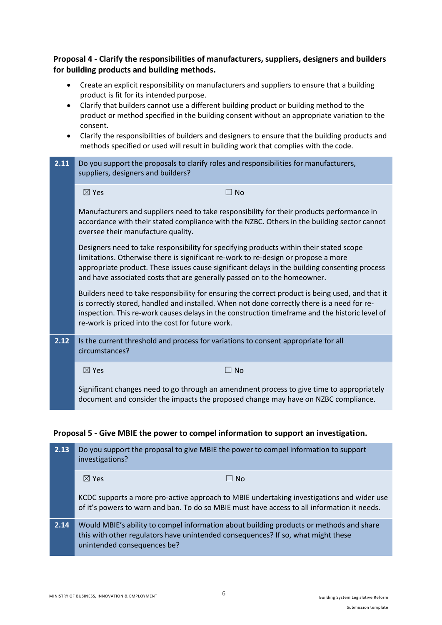**Proposal 4 - Clarify the responsibilities of manufacturers, suppliers, designers and builders for building products and building methods.**

- Create an explicit responsibility on manufacturers and suppliers to ensure that a building product is fit for its intended purpose.
- Clarify that builders cannot use a different building product or building method to the product or method specified in the building consent without an appropriate variation to the consent.
- Clarify the responsibilities of builders and designers to ensure that the building products and methods specified or used will result in building work that complies with the code.
- **2.11** Do you support the proposals to clarify roles and responsibilities for manufacturers, suppliers, designers and builders?

|      | $\boxtimes$ Yes                    | $\Box$ No                                                                                                                                                                                                                                                                                                                                                  |  |
|------|------------------------------------|------------------------------------------------------------------------------------------------------------------------------------------------------------------------------------------------------------------------------------------------------------------------------------------------------------------------------------------------------------|--|
|      | oversee their manufacture quality. | Manufacturers and suppliers need to take responsibility for their products performance in<br>accordance with their stated compliance with the NZBC. Others in the building sector cannot                                                                                                                                                                   |  |
|      |                                    | Designers need to take responsibility for specifying products within their stated scope<br>limitations. Otherwise there is significant re-work to re-design or propose a more<br>appropriate product. These issues cause significant delays in the building consenting process<br>and have associated costs that are generally passed on to the homeowner. |  |
|      |                                    | Builders need to take responsibility for ensuring the correct product is being used, and that it<br>is correctly stored, handled and installed. When not done correctly there is a need for re-<br>inspection. This re-work causes delays in the construction timeframe and the historic level of<br>re-work is priced into the cost for future work.      |  |
| 2.12 | circumstances?                     | Is the current threshold and process for variations to consent appropriate for all                                                                                                                                                                                                                                                                         |  |
|      | $\boxtimes$ Yes                    | $\square$ No                                                                                                                                                                                                                                                                                                                                               |  |
|      |                                    | Significant changes need to go through an amendment process to give time to appropriately<br>document and consider the impacts the proposed change may have on NZBC compliance.                                                                                                                                                                            |  |

#### **Proposal 5 - Give MBIE the power to compel information to support an investigation.**

| 2.13 | Do you support the proposal to give MBIE the power to compel information to support<br>investigations?                                                                                                     |  |
|------|------------------------------------------------------------------------------------------------------------------------------------------------------------------------------------------------------------|--|
|      | $\boxtimes$ Yes<br>$\Box$ No                                                                                                                                                                               |  |
|      | KCDC supports a more pro-active approach to MBIE undertaking investigations and wider use<br>of it's powers to warn and ban. To do so MBIE must have access to all information it needs.                   |  |
| 2.14 | Would MBIE's ability to compel information about building products or methods and share<br>this with other regulators have unintended consequences? If so, what might these<br>unintended consequences be? |  |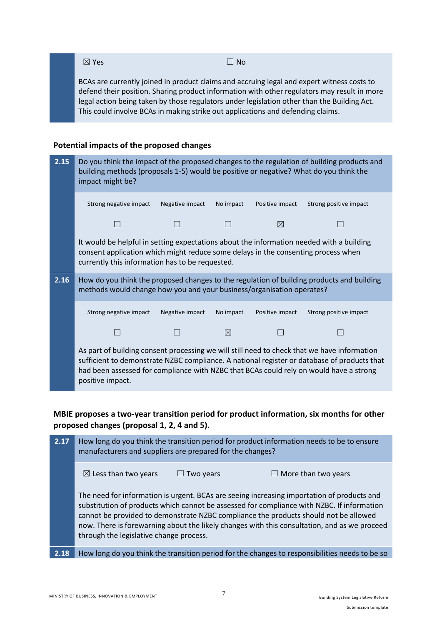$\boxtimes$  Yes  $\Box$  No

BCAs are currently joined in product claims and accruing legal and expert witness costs to defend their position. Sharing product information with other regulators may result in more legal action being taken by those regulators under legislation other than the Building Act. This could involve BCAs in making strike out applications and defending claims.

## **Potential impacts of the proposed changes**

| 2.15 | Do you think the impact of the proposed changes to the regulation of building products and<br>building methods (proposals 1-5) would be positive or negative? What do you think the<br>impact might be?                          |                 |           |                 |                                                                                             |
|------|----------------------------------------------------------------------------------------------------------------------------------------------------------------------------------------------------------------------------------|-----------------|-----------|-----------------|---------------------------------------------------------------------------------------------|
|      | Strong negative impact                                                                                                                                                                                                           | Negative impact | No impact | Positive impact | Strong positive impact                                                                      |
|      |                                                                                                                                                                                                                                  |                 |           | ⊠               |                                                                                             |
|      | It would be helpful in setting expectations about the information needed with a building<br>consent application which might reduce some delays in the consenting process when<br>currently this information has to be requested. |                 |           |                 |                                                                                             |
| 2.16 | How do you think the proposed changes to the regulation of building products and building<br>methods would change how you and your business/organisation operates?                                                               |                 |           |                 |                                                                                             |
|      | Strong negative impact                                                                                                                                                                                                           | Negative impact | No impact | Positive impact | Strong positive impact                                                                      |
|      |                                                                                                                                                                                                                                  |                 | ⊠         |                 |                                                                                             |
|      | As part of building consent processing we will still need to check that we have information<br>had been assessed for compliance with NZBC that BCAs could rely on would have a strong<br>positive impact.                        |                 |           |                 | sufficient to demonstrate NZBC compliance. A national register or database of products that |

**MBIE proposes a two-year transition period for product information, six months for other proposed changes (proposal 1, 2, 4 and 5).**

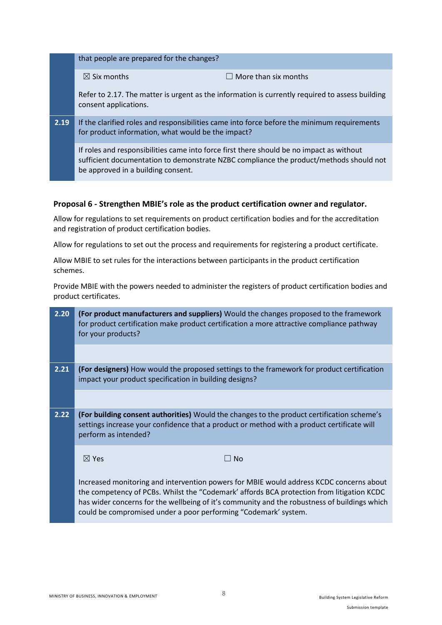|      | that people are prepared for the changes?                                                                                      |                                                                                                 |
|------|--------------------------------------------------------------------------------------------------------------------------------|-------------------------------------------------------------------------------------------------|
|      | $\boxtimes$ Six months                                                                                                         | $\Box$ More than six months                                                                     |
|      | consent applications.                                                                                                          | Refer to 2.17. The matter is urgent as the information is currently required to assess building |
| 2.19 | for product information, what would be the impact?                                                                             | If the clarified roles and responsibilities came into force before the minimum requirements     |
|      | If roles and responsibilities came into force first there should be no impact as without<br>be approved in a building consent. | sufficient documentation to demonstrate NZBC compliance the product/methods should not          |

## **Proposal 6 - Strengthen MBIE's role as the product certification owner and regulator.**

Allow for regulations to set requirements on product certification bodies and for the accreditation and registration of product certification bodies.

Allow for regulations to set out the process and requirements for registering a product certificate.

Allow MBIE to set rules for the interactions between participants in the product certification schemes.

Provide MBIE with the powers needed to administer the registers of product certification bodies and product certificates.

| 2.20 | (For product manufacturers and suppliers) Would the changes proposed to the framework<br>for product certification make product certification a more attractive compliance pathway<br>for your products?                                                                                                                                                |
|------|---------------------------------------------------------------------------------------------------------------------------------------------------------------------------------------------------------------------------------------------------------------------------------------------------------------------------------------------------------|
|      |                                                                                                                                                                                                                                                                                                                                                         |
| 2.21 | (For designers) How would the proposed settings to the framework for product certification<br>impact your product specification in building designs?                                                                                                                                                                                                    |
|      |                                                                                                                                                                                                                                                                                                                                                         |
| 2.22 | (For building consent authorities) Would the changes to the product certification scheme's<br>settings increase your confidence that a product or method with a product certificate will<br>perform as intended?                                                                                                                                        |
|      | $\boxtimes$ Yes<br>$\Box$ No                                                                                                                                                                                                                                                                                                                            |
|      | Increased monitoring and intervention powers for MBIE would address KCDC concerns about<br>the competency of PCBs. Whilst the "Codemark' affords BCA protection from litigation KCDC<br>has wider concerns for the wellbeing of it's community and the robustness of buildings which<br>could be compromised under a poor performing "Codemark' system. |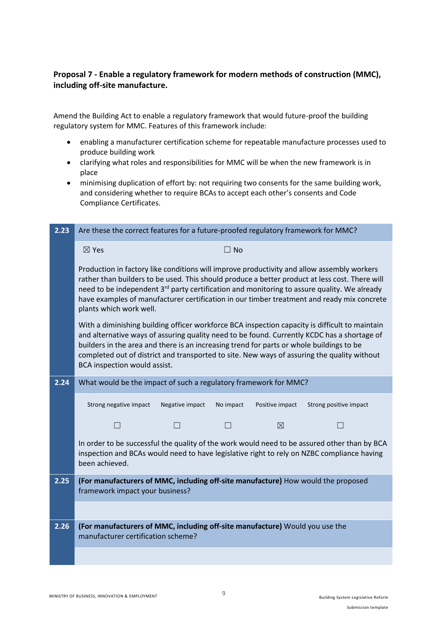# **Proposal 7 - Enable a regulatory framework for modern methods of construction (MMC), including off-site manufacture.**

Amend the Building Act to enable a regulatory framework that would future-proof the building regulatory system for MMC. Features of this framework include:

- enabling a manufacturer certification scheme for repeatable manufacture processes used to produce building work
- clarifying what roles and responsibilities for MMC will be when the new framework is in place
- minimising duplication of effort by: not requiring two consents for the same building work, and considering whether to require BCAs to accept each other's consents and Code Compliance Certificates.

| 2.23 | Are these the correct features for a future-proofed regulatory framework for MMC?                                                                                                                                                                                                                                                                                                                                                |
|------|----------------------------------------------------------------------------------------------------------------------------------------------------------------------------------------------------------------------------------------------------------------------------------------------------------------------------------------------------------------------------------------------------------------------------------|
|      | $\boxtimes$ Yes<br>$\Box$ No                                                                                                                                                                                                                                                                                                                                                                                                     |
|      | Production in factory like conditions will improve productivity and allow assembly workers<br>rather than builders to be used. This should produce a better product at less cost. There will<br>need to be independent 3 <sup>rd</sup> party certification and monitoring to assure quality. We already<br>have examples of manufacturer certification in our timber treatment and ready mix concrete<br>plants which work well. |
|      | With a diminishing building officer workforce BCA inspection capacity is difficult to maintain<br>and alternative ways of assuring quality need to be found. Currently KCDC has a shortage of<br>builders in the area and there is an increasing trend for parts or whole buildings to be<br>completed out of district and transported to site. New ways of assuring the quality without<br>BCA inspection would assist.         |
| 2.24 | What would be the impact of such a regulatory framework for MMC?                                                                                                                                                                                                                                                                                                                                                                 |
|      | Strong negative impact<br>Negative impact<br>No impact<br>Positive impact<br>Strong positive impact                                                                                                                                                                                                                                                                                                                              |
|      | $\boxtimes$                                                                                                                                                                                                                                                                                                                                                                                                                      |
|      | In order to be successful the quality of the work would need to be assured other than by BCA<br>inspection and BCAs would need to have legislative right to rely on NZBC compliance having<br>been achieved.                                                                                                                                                                                                                     |
| 2.25 | (For manufacturers of MMC, including off-site manufacture) How would the proposed<br>framework impact your business?                                                                                                                                                                                                                                                                                                             |
|      |                                                                                                                                                                                                                                                                                                                                                                                                                                  |
| 2.26 | (For manufacturers of MMC, including off-site manufacture) Would you use the<br>manufacturer certification scheme?                                                                                                                                                                                                                                                                                                               |
|      |                                                                                                                                                                                                                                                                                                                                                                                                                                  |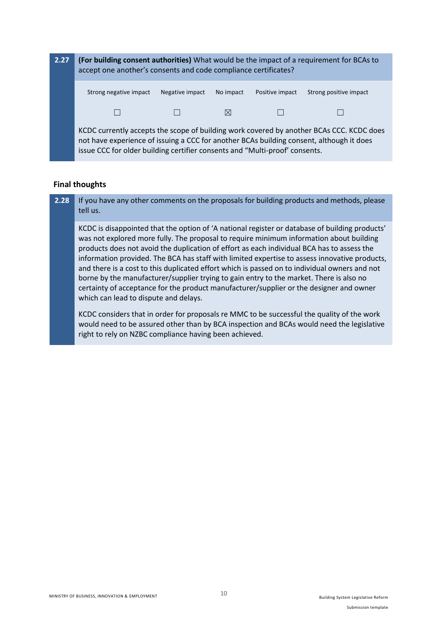

#### **Final thoughts**

**2.28** If you have any other comments on the proposals for building products and methods, please tell us.

KCDC is disappointed that the option of 'A national register or database of building products' was not explored more fully. The proposal to require minimum information about building products does not avoid the duplication of effort as each individual BCA has to assess the information provided. The BCA has staff with limited expertise to assess innovative products, and there is a cost to this duplicated effort which is passed on to individual owners and not borne by the manufacturer/supplier trying to gain entry to the market. There is also no certainty of acceptance for the product manufacturer/supplier or the designer and owner which can lead to dispute and delays.

KCDC considers that in order for proposals re MMC to be successful the quality of the work would need to be assured other than by BCA inspection and BCAs would need the legislative right to rely on NZBC compliance having been achieved.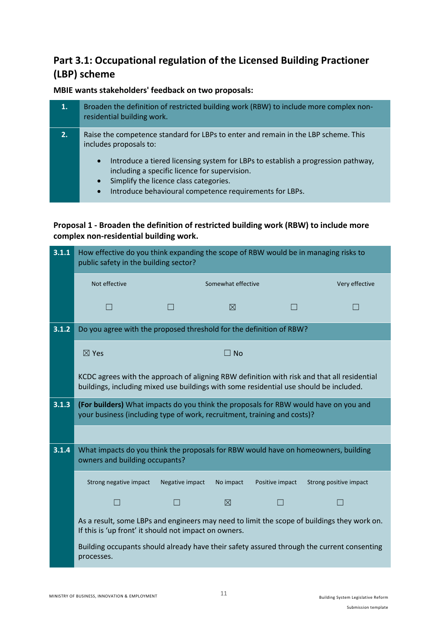# **Part 3.1: Occupational regulation of the Licensed Building Practioner (LBP) scheme**

# **MBIE wants stakeholders' feedback on two proposals:**

| 1. | Broaden the definition of restricted building work (RBW) to include more complex non-<br>residential building work.                                                                                   |
|----|-------------------------------------------------------------------------------------------------------------------------------------------------------------------------------------------------------|
| 2. | Raise the competence standard for LBPs to enter and remain in the LBP scheme. This<br>includes proposals to:                                                                                          |
|    | Introduce a tiered licensing system for LBPs to establish a progression pathway,<br>$\bullet$<br>including a specific licence for supervision.<br>Simplify the licence class categories.<br>$\bullet$ |
|    | Introduce behavioural competence requirements for LPDs                                                                                                                                                |

behavioural competence requirements for LBPs.

# **Proposal 1 - Broaden the definition of restricted building work (RBW) to include more complex non-residential building work.**

| 3.1.1 | How effective do you think expanding the scope of RBW would be in managing risks to<br>public safety in the building sector?                                                          |                 |                    |                 |                                                                                             |
|-------|---------------------------------------------------------------------------------------------------------------------------------------------------------------------------------------|-----------------|--------------------|-----------------|---------------------------------------------------------------------------------------------|
|       | Not effective                                                                                                                                                                         |                 | Somewhat effective |                 | Very effective                                                                              |
|       |                                                                                                                                                                                       |                 | ⊠                  |                 |                                                                                             |
| 3.1.2 | Do you agree with the proposed threshold for the definition of RBW?                                                                                                                   |                 |                    |                 |                                                                                             |
|       | $\boxtimes$ Yes                                                                                                                                                                       |                 | $\Box$ No          |                 |                                                                                             |
|       | KCDC agrees with the approach of aligning RBW definition with risk and that all residential<br>buildings, including mixed use buildings with some residential use should be included. |                 |                    |                 |                                                                                             |
| 3.1.3 | (For builders) What impacts do you think the proposals for RBW would have on you and<br>your business (including type of work, recruitment, training and costs)?                      |                 |                    |                 |                                                                                             |
|       |                                                                                                                                                                                       |                 |                    |                 |                                                                                             |
| 3.1.4 | What impacts do you think the proposals for RBW would have on homeowners, building<br>owners and building occupants?                                                                  |                 |                    |                 |                                                                                             |
|       | Strong negative impact                                                                                                                                                                | Negative impact | No impact          | Positive impact | Strong positive impact                                                                      |
|       | $\mathsf{L}$                                                                                                                                                                          |                 | $\boxtimes$        |                 |                                                                                             |
|       | If this is 'up front' it should not impact on owners.                                                                                                                                 |                 |                    |                 | As a result, some LBPs and engineers may need to limit the scope of buildings they work on. |
|       | processes.                                                                                                                                                                            |                 |                    |                 | Building occupants should already have their safety assured through the current consenting  |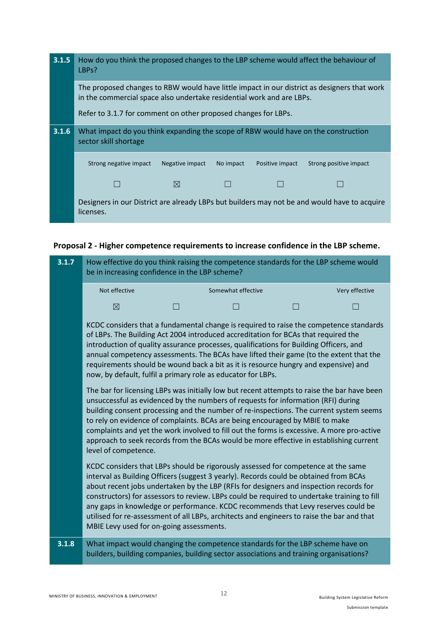| 3.1.5 | How do you think the proposed changes to the LBP scheme would affect the behaviour of<br>LBPs?                                                                       |                 |           |                 |                                                                                              |
|-------|----------------------------------------------------------------------------------------------------------------------------------------------------------------------|-----------------|-----------|-----------------|----------------------------------------------------------------------------------------------|
|       | The proposed changes to RBW would have little impact in our district as designers that work<br>in the commercial space also undertake residential work and are LBPs. |                 |           |                 |                                                                                              |
|       | Refer to 3.1.7 for comment on other proposed changes for LBPs.                                                                                                       |                 |           |                 |                                                                                              |
| 3.1.6 | What impact do you think expanding the scope of RBW would have on the construction<br>sector skill shortage                                                          |                 |           |                 |                                                                                              |
|       | Strong negative impact                                                                                                                                               | Negative impact | No impact | Positive impact | Strong positive impact                                                                       |
|       |                                                                                                                                                                      | $\boxtimes$     |           |                 |                                                                                              |
|       | licenses.                                                                                                                                                            |                 |           |                 | Designers in our District are already LBPs but builders may not be and would have to acquire |

# **Proposal 2 - Higher competence requirements to increase confidence in the LBP scheme.**

| 3.1.7 | How effective do you think raising the competence standards for the LBP scheme would<br>be in increasing confidence in the LBP scheme? |  |                                                                                                                                                                                                                                                                                                                                                                                                                                                                                                                                                        |                |
|-------|----------------------------------------------------------------------------------------------------------------------------------------|--|--------------------------------------------------------------------------------------------------------------------------------------------------------------------------------------------------------------------------------------------------------------------------------------------------------------------------------------------------------------------------------------------------------------------------------------------------------------------------------------------------------------------------------------------------------|----------------|
|       | Not effective                                                                                                                          |  | Somewhat effective                                                                                                                                                                                                                                                                                                                                                                                                                                                                                                                                     | Very effective |
|       | $\boxtimes$                                                                                                                            |  |                                                                                                                                                                                                                                                                                                                                                                                                                                                                                                                                                        |                |
|       |                                                                                                                                        |  | KCDC considers that a fundamental change is required to raise the competence standards<br>of LBPs. The Building Act 2004 introduced accreditation for BCAs that required the<br>introduction of quality assurance processes, qualifications for Building Officers, and<br>annual competency assessments. The BCAs have lifted their game (to the extent that the<br>requirements should be wound back a bit as it is resource hungry and expensive) and<br>now, by default, fulfil a primary role as educator for LBPs.                                |                |
|       | The bar for licensing LBPs was initially low but recent attempts to raise the bar have been<br>level of competence.                    |  | unsuccessful as evidenced by the numbers of requests for information (RFI) during<br>building consent processing and the number of re-inspections. The current system seems<br>to rely on evidence of complaints. BCAs are being encouraged by MBIE to make<br>complaints and yet the work involved to fill out the forms is excessive. A more pro-active<br>approach to seek records from the BCAs would be more effective in establishing current                                                                                                    |                |
|       | MBIE Levy used for on-going assessments.                                                                                               |  | KCDC considers that LBPs should be rigorously assessed for competence at the same<br>interval as Building Officers (suggest 3 yearly). Records could be obtained from BCAs<br>about recent jobs undertaken by the LBP (RFIs for designers and inspection records for<br>constructors) for assessors to review. LBPs could be required to undertake training to fill<br>any gaps in knowledge or performance. KCDC recommends that Levy reserves could be<br>utilised for re-assessment of all LBPs, architects and engineers to raise the bar and that |                |
| 3.1.8 | What impact would changing the competence standards for the LBP scheme have on                                                         |  | builders, building companies, building sector associations and training organisations?                                                                                                                                                                                                                                                                                                                                                                                                                                                                 |                |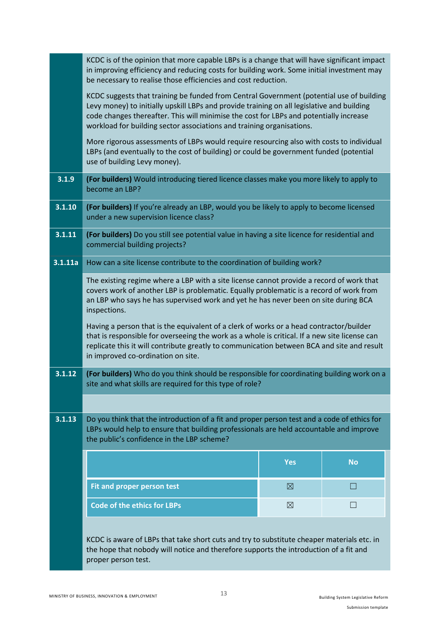|         | KCDC is of the opinion that more capable LBPs is a change that will have significant impact<br>in improving efficiency and reducing costs for building work. Some initial investment may<br>be necessary to realise those efficiencies and cost reduction.                                                                                                |             |              |  |  |
|---------|-----------------------------------------------------------------------------------------------------------------------------------------------------------------------------------------------------------------------------------------------------------------------------------------------------------------------------------------------------------|-------------|--------------|--|--|
|         | KCDC suggests that training be funded from Central Government (potential use of building<br>Levy money) to initially upskill LBPs and provide training on all legislative and building<br>code changes thereafter. This will minimise the cost for LBPs and potentially increase<br>workload for building sector associations and training organisations. |             |              |  |  |
|         | More rigorous assessments of LBPs would require resourcing also with costs to individual<br>LBPs (and eventually to the cost of building) or could be government funded (potential<br>use of building Levy money).                                                                                                                                        |             |              |  |  |
| 3.1.9   | (For builders) Would introducing tiered licence classes make you more likely to apply to<br>become an LBP?                                                                                                                                                                                                                                                |             |              |  |  |
| 3.1.10  | (For builders) If you're already an LBP, would you be likely to apply to become licensed<br>under a new supervision licence class?                                                                                                                                                                                                                        |             |              |  |  |
| 3.1.11  | (For builders) Do you still see potential value in having a site licence for residential and<br>commercial building projects?                                                                                                                                                                                                                             |             |              |  |  |
| 3.1.11a | How can a site license contribute to the coordination of building work?                                                                                                                                                                                                                                                                                   |             |              |  |  |
|         | The existing regime where a LBP with a site license cannot provide a record of work that<br>covers work of another LBP is problematic. Equally problematic is a record of work from<br>an LBP who says he has supervised work and yet he has never been on site during BCA<br>inspections.                                                                |             |              |  |  |
|         | Having a person that is the equivalent of a clerk of works or a head contractor/builder<br>that is responsible for overseeing the work as a whole is critical. If a new site license can<br>replicate this it will contribute greatly to communication between BCA and site and result<br>in improved co-ordination on site.                              |             |              |  |  |
| 3.1.12  | (For builders) Who do you think should be responsible for coordinating building work on a<br>site and what skills are required for this type of role?                                                                                                                                                                                                     |             |              |  |  |
|         |                                                                                                                                                                                                                                                                                                                                                           |             |              |  |  |
| 3.1.13  | Do you think that the introduction of a fit and proper person test and a code of ethics for<br>LBPs would help to ensure that building professionals are held accountable and improve<br>the public's confidence in the LBP scheme?                                                                                                                       |             |              |  |  |
|         |                                                                                                                                                                                                                                                                                                                                                           | <b>Yes</b>  | <b>No</b>    |  |  |
|         | Fit and proper person test                                                                                                                                                                                                                                                                                                                                | $\boxtimes$ | $\mathsf{L}$ |  |  |
|         | <b>Code of the ethics for LBPs</b>                                                                                                                                                                                                                                                                                                                        | $\boxtimes$ | $\Box$       |  |  |
|         |                                                                                                                                                                                                                                                                                                                                                           |             |              |  |  |
|         | KCDC is aware of LBPs that take short cuts and try to substitute cheaper materials etc. in<br>the hope that nobody will notice and therefore supports the introduction of a fit and<br>proper person test.                                                                                                                                                |             |              |  |  |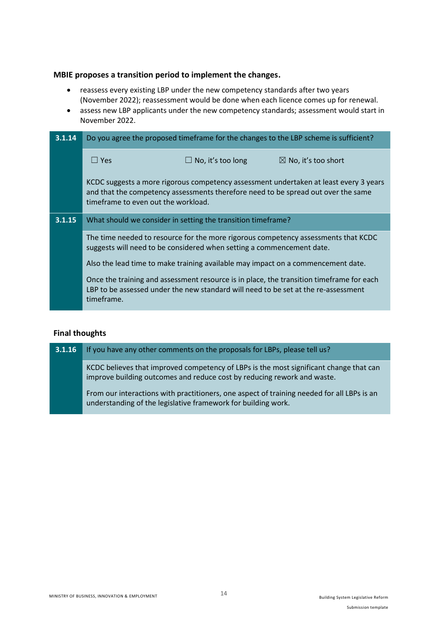#### **MBIE proposes a transition period to implement the changes.**

- reassess every existing LBP under the new competency standards after two years (November 2022); reassessment would be done when each licence comes up for renewal.
- assess new LBP applicants under the new competency standards; assessment would start in November 2022.

| 3.1.14 | Do you agree the proposed timeframe for the changes to the LBP scheme is sufficient? |                                                                                    |                                                                                                                                                                            |
|--------|--------------------------------------------------------------------------------------|------------------------------------------------------------------------------------|----------------------------------------------------------------------------------------------------------------------------------------------------------------------------|
|        | $\Box$ Yes                                                                           | $\Box$ No, it's too long                                                           | $\boxtimes$ No, it's too short                                                                                                                                             |
|        | timeframe to even out the workload.                                                  |                                                                                    | KCDC suggests a more rigorous competency assessment undertaken at least every 3 years<br>and that the competency assessments therefore need to be spread out over the same |
| 3.1.15 |                                                                                      | What should we consider in setting the transition timeframe?                       |                                                                                                                                                                            |
|        |                                                                                      | suggests will need to be considered when setting a commencement date.              | The time needed to resource for the more rigorous competency assessments that KCDC                                                                                         |
|        |                                                                                      | Also the lead time to make training available may impact on a commencement date.   |                                                                                                                                                                            |
|        | timeframe.                                                                           | LBP to be assessed under the new standard will need to be set at the re-assessment | Once the training and assessment resource is in place, the transition timeframe for each                                                                                   |
|        |                                                                                      |                                                                                    |                                                                                                                                                                            |

#### **Final thoughts**

**3.1.16** If you have any other comments on the proposals for LBPs, please tell us?

KCDC believes that improved competency of LBPs is the most significant change that can improve building outcomes and reduce cost by reducing rework and waste.

From our interactions with practitioners, one aspect of training needed for all LBPs is an understanding of the legislative framework for building work.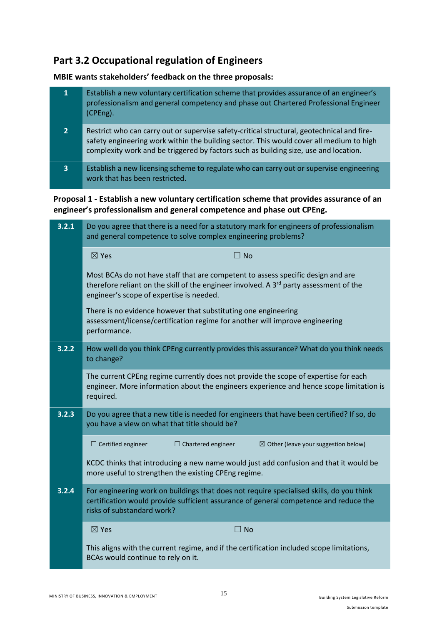# **Part 3.2 Occupational regulation of Engineers**

**MBIE wants stakeholders' feedback on the three proposals:**

| 1                       | Establish a new voluntary certification scheme that provides assurance of an engineer's<br>professionalism and general competency and phase out Chartered Professional Engineer<br>(CPEng).                                                                                   |
|-------------------------|-------------------------------------------------------------------------------------------------------------------------------------------------------------------------------------------------------------------------------------------------------------------------------|
|                         | Restrict who can carry out or supervise safety-critical structural, geotechnical and fire-<br>safety engineering work within the building sector. This would cover all medium to high<br>complexity work and be triggered by factors such as building size, use and location. |
| $\overline{\mathbf{3}}$ | Establish a new licensing scheme to regulate who can carry out or supervise engineering<br>work that has been restricted.                                                                                                                                                     |

**Proposal 1 - Establish a new voluntary certification scheme that provides assurance of an engineer's professionalism and general competence and phase out CPEng.**

| 3.2.1 | Do you agree that there is a need for a statutory mark for engineers of professionalism<br>and general competence to solve complex engineering problems?                                                                           |
|-------|------------------------------------------------------------------------------------------------------------------------------------------------------------------------------------------------------------------------------------|
|       | $\boxtimes$ Yes<br>$\square$ No                                                                                                                                                                                                    |
|       | Most BCAs do not have staff that are competent to assess specific design and are<br>therefore reliant on the skill of the engineer involved. A 3 <sup>rd</sup> party assessment of the<br>engineer's scope of expertise is needed. |
|       | There is no evidence however that substituting one engineering<br>assessment/license/certification regime for another will improve engineering<br>performance.                                                                     |
| 3.2.2 | How well do you think CPEng currently provides this assurance? What do you think needs<br>to change?                                                                                                                               |
|       | The current CPEng regime currently does not provide the scope of expertise for each<br>engineer. More information about the engineers experience and hence scope limitation is<br>required.                                        |
| 3.2.3 | Do you agree that a new title is needed for engineers that have been certified? If so, do<br>you have a view on what that title should be?                                                                                         |
|       | $\Box$ Certified engineer<br>$\Box$ Chartered engineer<br>$\boxtimes$ Other (leave your suggestion below)                                                                                                                          |
|       | KCDC thinks that introducing a new name would just add confusion and that it would be<br>more useful to strengthen the existing CPEng regime.                                                                                      |
| 3.2.4 | For engineering work on buildings that does not require specialised skills, do you think<br>certification would provide sufficient assurance of general competence and reduce the<br>risks of substandard work?                    |
|       | $\boxtimes$ Yes<br>$\square$ No                                                                                                                                                                                                    |
|       | This aligns with the current regime, and if the certification included scope limitations,<br>BCAs would continue to rely on it.                                                                                                    |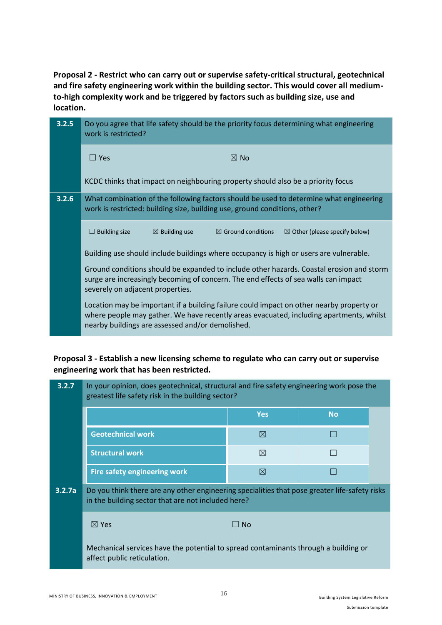**Proposal 2 - Restrict who can carry out or supervise safety-critical structural, geotechnical and fire safety engineering work within the building sector. This would cover all mediumto-high complexity work and be triggered by factors such as building size, use and location.**

| 3.2.5 | Do you agree that life safety should be the priority focus determining what engineering<br>work is restricted?                                                                                                                          |  |  |  |
|-------|-----------------------------------------------------------------------------------------------------------------------------------------------------------------------------------------------------------------------------------------|--|--|--|
|       | $\Box$ Yes<br>$\boxtimes$ No                                                                                                                                                                                                            |  |  |  |
|       | KCDC thinks that impact on neighbouring property should also be a priority focus                                                                                                                                                        |  |  |  |
| 3.2.6 | What combination of the following factors should be used to determine what engineering<br>work is restricted: building size, building use, ground conditions, other?                                                                    |  |  |  |
|       | $\boxtimes$ Ground conditions<br>$\Box$ Building size<br>$\boxtimes$ Building use<br>$\boxtimes$ Other (please specify below)                                                                                                           |  |  |  |
|       | Building use should include buildings where occupancy is high or users are vulnerable.                                                                                                                                                  |  |  |  |
|       | Ground conditions should be expanded to include other hazards. Coastal erosion and storm<br>surge are increasingly becoming of concern. The end effects of sea walls can impact<br>severely on adjacent properties.                     |  |  |  |
|       | Location may be important if a building failure could impact on other nearby property or<br>where people may gather. We have recently areas evacuated, including apartments, whilst<br>nearby buildings are assessed and/or demolished. |  |  |  |

# **Proposal 3 - Establish a new licensing scheme to regulate who can carry out or supervise engineering work that has been restricted.**

| 3.2.7  | In your opinion, does geotechnical, structural and fire safety engineering work pose the<br>greatest life safety risk in the building sector?       |             |           |  |  |
|--------|-----------------------------------------------------------------------------------------------------------------------------------------------------|-------------|-----------|--|--|
|        |                                                                                                                                                     | <b>Yes</b>  | <b>No</b> |  |  |
|        | <b>Geotechnical work</b>                                                                                                                            | $\boxtimes$ |           |  |  |
|        | <b>Structural work</b>                                                                                                                              | $\boxtimes$ |           |  |  |
|        | <b>Fire safety engineering work</b>                                                                                                                 | ⊠           |           |  |  |
| 3.2.7a | Do you think there are any other engineering specialities that pose greater life-safety risks<br>in the building sector that are not included here? |             |           |  |  |
|        | $\boxtimes$ Yes                                                                                                                                     | $\Box$ No   |           |  |  |
|        | Mechanical services have the potential to spread contaminants through a building or<br>affect public reticulation.                                  |             |           |  |  |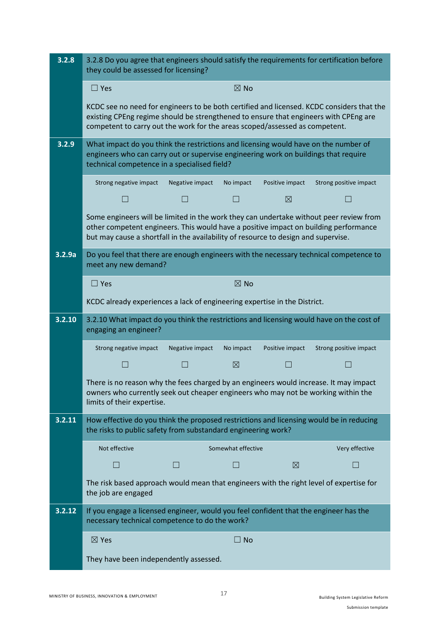| 3.2.8  | 3.2.8 Do you agree that engineers should satisfy the requirements for certification before<br>they could be assessed for licensing?                                                                                                                                  |                 |                    |                 |                        |
|--------|----------------------------------------------------------------------------------------------------------------------------------------------------------------------------------------------------------------------------------------------------------------------|-----------------|--------------------|-----------------|------------------------|
|        | $\Box$ Yes                                                                                                                                                                                                                                                           |                 | $\boxtimes$ No     |                 |                        |
|        | KCDC see no need for engineers to be both certified and licensed. KCDC considers that the<br>existing CPEng regime should be strengthened to ensure that engineers with CPEng are<br>competent to carry out the work for the areas scoped/assessed as competent.     |                 |                    |                 |                        |
| 3.2.9  | What impact do you think the restrictions and licensing would have on the number of<br>engineers who can carry out or supervise engineering work on buildings that require<br>technical competence in a specialised field?                                           |                 |                    |                 |                        |
|        | Strong negative impact                                                                                                                                                                                                                                               | Negative impact | No impact          | Positive impact | Strong positive impact |
|        | a s                                                                                                                                                                                                                                                                  |                 |                    | ⊠               |                        |
|        | Some engineers will be limited in the work they can undertake without peer review from<br>other competent engineers. This would have a positive impact on building performance<br>but may cause a shortfall in the availability of resource to design and supervise. |                 |                    |                 |                        |
| 3.2.9a | Do you feel that there are enough engineers with the necessary technical competence to<br>meet any new demand?                                                                                                                                                       |                 |                    |                 |                        |
|        | $\Box$ Yes                                                                                                                                                                                                                                                           |                 | $\boxtimes$ No     |                 |                        |
|        | KCDC already experiences a lack of engineering expertise in the District.                                                                                                                                                                                            |                 |                    |                 |                        |
|        |                                                                                                                                                                                                                                                                      |                 |                    |                 |                        |
| 3.2.10 | 3.2.10 What impact do you think the restrictions and licensing would have on the cost of<br>engaging an engineer?                                                                                                                                                    |                 |                    |                 |                        |
|        | Strong negative impact                                                                                                                                                                                                                                               | Negative impact | No impact          | Positive impact | Strong positive impact |
|        |                                                                                                                                                                                                                                                                      |                 | $\boxtimes$        |                 |                        |
|        | There is no reason why the fees charged by an engineers would increase. It may impact<br>owners who currently seek out cheaper engineers who may not be working within the<br>limits of their expertise.                                                             |                 |                    |                 |                        |
| 3.2.11 | How effective do you think the proposed restrictions and licensing would be in reducing<br>the risks to public safety from substandard engineering work?                                                                                                             |                 |                    |                 |                        |
|        | Not effective                                                                                                                                                                                                                                                        |                 | Somewhat effective |                 | Very effective         |
|        |                                                                                                                                                                                                                                                                      |                 |                    | $\boxtimes$     |                        |
|        | The risk based approach would mean that engineers with the right level of expertise for<br>the job are engaged                                                                                                                                                       |                 |                    |                 |                        |
| 3.2.12 | If you engage a licensed engineer, would you feel confident that the engineer has the<br>necessary technical competence to do the work?                                                                                                                              |                 |                    |                 |                        |
|        | $\boxtimes$ Yes                                                                                                                                                                                                                                                      |                 | $\square$ No       |                 |                        |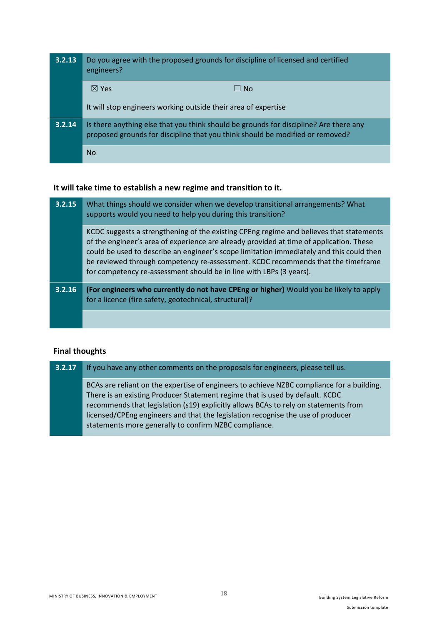| 3.2.13 | Do you agree with the proposed grounds for discipline of licensed and certified<br>engineers?                                                                          |
|--------|------------------------------------------------------------------------------------------------------------------------------------------------------------------------|
|        | $\boxtimes$ Yes<br>$\Box$ No                                                                                                                                           |
|        | It will stop engineers working outside their area of expertise                                                                                                         |
| 3.2.14 | Is there anything else that you think should be grounds for discipline? Are there any<br>proposed grounds for discipline that you think should be modified or removed? |
|        | <b>No</b>                                                                                                                                                              |

#### **It will take time to establish a new regime and transition to it.**

| 3.2.15 | What things should we consider when we develop transitional arrangements? What<br>supports would you need to help you during this transition?                                                                                                                                                                                                                                                                                             |
|--------|-------------------------------------------------------------------------------------------------------------------------------------------------------------------------------------------------------------------------------------------------------------------------------------------------------------------------------------------------------------------------------------------------------------------------------------------|
|        | KCDC suggests a strengthening of the existing CPEng regime and believes that statements<br>of the engineer's area of experience are already provided at time of application. These<br>could be used to describe an engineer's scope limitation immediately and this could then<br>be reviewed through competency re-assessment. KCDC recommends that the timeframe<br>for competency re-assessment should be in line with LBPs (3 years). |
| 3.2.16 | (For engineers who currently do not have CPEng or higher) Would you be likely to apply<br>for a licence (fire safety, geotechnical, structural)?                                                                                                                                                                                                                                                                                          |
|        |                                                                                                                                                                                                                                                                                                                                                                                                                                           |

## **Final thoughts**

**3.2.17** If you have any other comments on the proposals for engineers, please tell us.

BCAs are reliant on the expertise of engineers to achieve NZBC compliance for a building. There is an existing Producer Statement regime that is used by default. KCDC recommends that legislation (s19) explicitly allows BCAs to rely on statements from licensed/CPEng engineers and that the legislation recognise the use of producer statements more generally to confirm NZBC compliance.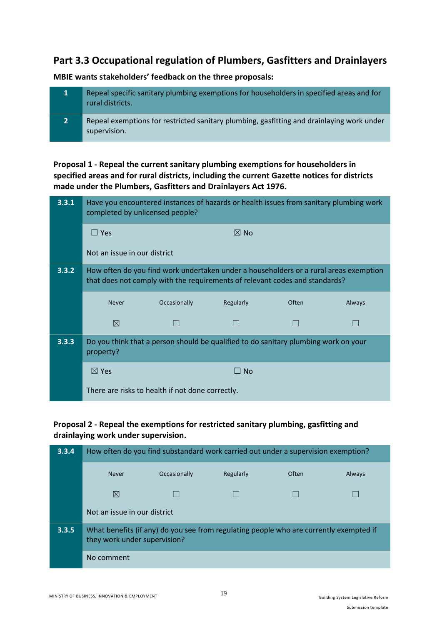# **Part 3.3 Occupational regulation of Plumbers, Gasfitters and Drainlayers**

**MBIE wants stakeholders' feedback on the three proposals:**

|                | Repeal specific sanitary plumbing exemptions for householders in specified areas and for<br>rural districts. |
|----------------|--------------------------------------------------------------------------------------------------------------|
| $\overline{2}$ | Repeal exemptions for restricted sanitary plumbing, gasfitting and drainlaying work under<br>supervision.    |

**Proposal 1 - Repeal the current sanitary plumbing exemptions for householders in specified areas and for rural districts, including the current Gazette notices for districts made under the Plumbers, Gasfitters and Drainlayers Act 1976.**

| 3.3.1 | Have you encountered instances of hazards or health issues from sanitary plumbing work<br>completed by unlicensed people? |                                                                                                                                                                      |                |       |        |
|-------|---------------------------------------------------------------------------------------------------------------------------|----------------------------------------------------------------------------------------------------------------------------------------------------------------------|----------------|-------|--------|
|       | $\Box$ Yes                                                                                                                |                                                                                                                                                                      | $\boxtimes$ No |       |        |
|       | Not an issue in our district                                                                                              |                                                                                                                                                                      |                |       |        |
| 3.3.2 |                                                                                                                           | How often do you find work undertaken under a householders or a rural areas exemption<br>that does not comply with the requirements of relevant codes and standards? |                |       |        |
|       | <b>Never</b>                                                                                                              | Occasionally                                                                                                                                                         | Regularly      | Often | Always |
|       | ⊠                                                                                                                         |                                                                                                                                                                      |                |       |        |
| 3.3.3 | property?                                                                                                                 | Do you think that a person should be qualified to do sanitary plumbing work on your                                                                                  |                |       |        |
|       | $\boxtimes$ Yes                                                                                                           |                                                                                                                                                                      | $\Box$ No      |       |        |
|       |                                                                                                                           | There are risks to health if not done correctly.                                                                                                                     |                |       |        |

## **Proposal 2 - Repeal the exemptions for restricted sanitary plumbing, gasfitting and drainlaying work under supervision.**

| 3.3.4 | How often do you find substandard work carried out under a supervision exemption? |                                                                                        |           |       |        |
|-------|-----------------------------------------------------------------------------------|----------------------------------------------------------------------------------------|-----------|-------|--------|
|       | <b>Never</b>                                                                      | Occasionally                                                                           | Regularly | Often | Always |
|       | ⊠                                                                                 |                                                                                        |           |       |        |
|       | Not an issue in our district                                                      |                                                                                        |           |       |        |
| 3.3.5 | they work under supervision?                                                      | What benefits (if any) do you see from regulating people who are currently exempted if |           |       |        |
|       | No comment                                                                        |                                                                                        |           |       |        |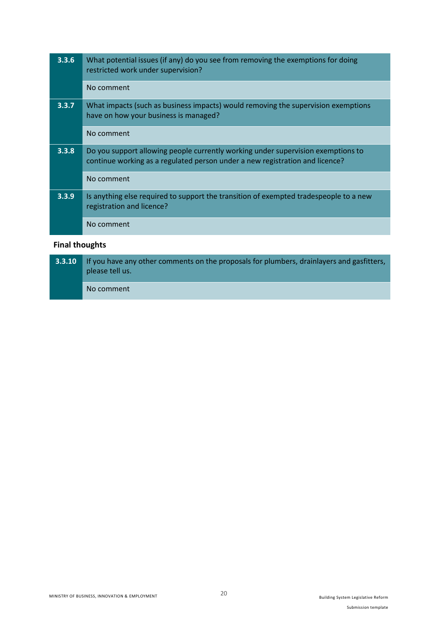| 3.3.6 | What potential issues (if any) do you see from removing the exemptions for doing<br>restricted work under supervision?                                           |
|-------|------------------------------------------------------------------------------------------------------------------------------------------------------------------|
|       | No comment                                                                                                                                                       |
| 3.3.7 | What impacts (such as business impacts) would removing the supervision exemptions<br>have on how your business is managed?                                       |
|       | No comment                                                                                                                                                       |
| 3.3.8 | Do you support allowing people currently working under supervision exemptions to<br>continue working as a regulated person under a new registration and licence? |
|       | No comment                                                                                                                                                       |
| 3.3.9 | Is anything else required to support the transition of exempted tradespeople to a new<br>registration and licence?                                               |
|       | No comment                                                                                                                                                       |
|       |                                                                                                                                                                  |

# **Final thoughts**

| 3.3.10 | If you have any other comments on the proposals for plumbers, drainlayers and gasfitters,<br>please tell us. |
|--------|--------------------------------------------------------------------------------------------------------------|
|        | No comment                                                                                                   |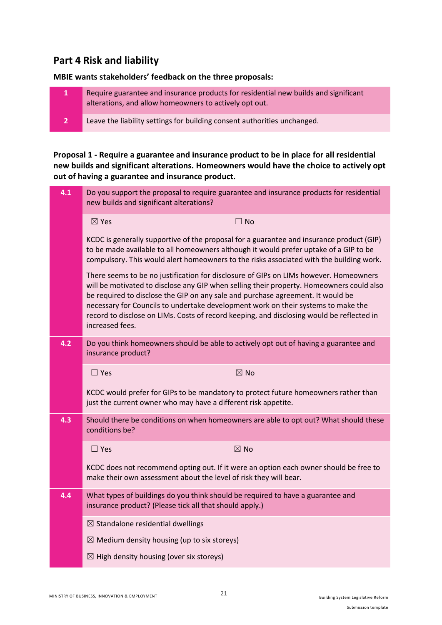# **Part 4 Risk and liability**

**MBIE wants stakeholders' feedback on the three proposals:**

| $\mathbf{1}$   | Require guarantee and insurance products for residential new builds and significant<br>alterations, and allow homeowners to actively opt out. |
|----------------|-----------------------------------------------------------------------------------------------------------------------------------------------|
| $\overline{2}$ | Leave the liability settings for building consent authorities unchanged.                                                                      |

**Proposal 1 - Require a guarantee and insurance product to be in place for all residential new builds and significant alterations. Homeowners would have the choice to actively opt out of having a guarantee and insurance product.**

| 4.1 | new builds and significant alterations?                                                            | Do you support the proposal to require guarantee and insurance products for residential                                                                                                                                                                                                                                                                             |
|-----|----------------------------------------------------------------------------------------------------|---------------------------------------------------------------------------------------------------------------------------------------------------------------------------------------------------------------------------------------------------------------------------------------------------------------------------------------------------------------------|
|     | $\boxtimes$ Yes                                                                                    | $\Box$ No                                                                                                                                                                                                                                                                                                                                                           |
|     |                                                                                                    | KCDC is generally supportive of the proposal for a guarantee and insurance product (GIP)<br>to be made available to all homeowners although it would prefer uptake of a GIP to be<br>compulsory. This would alert homeowners to the risks associated with the building work.                                                                                        |
|     | be required to disclose the GIP on any sale and purchase agreement. It would be<br>increased fees. | There seems to be no justification for disclosure of GIPs on LIMs however. Homeowners<br>will be motivated to disclose any GIP when selling their property. Homeowners could also<br>necessary for Councils to undertake development work on their systems to make the<br>record to disclose on LIMs. Costs of record keeping, and disclosing would be reflected in |
| 4.2 | insurance product?                                                                                 | Do you think homeowners should be able to actively opt out of having a guarantee and                                                                                                                                                                                                                                                                                |
|     | $\Box$ Yes                                                                                         | $\boxtimes$ No                                                                                                                                                                                                                                                                                                                                                      |
|     | just the current owner who may have a different risk appetite.                                     | KCDC would prefer for GIPs to be mandatory to protect future homeowners rather than                                                                                                                                                                                                                                                                                 |
| 4.3 | conditions be?                                                                                     | Should there be conditions on when homeowners are able to opt out? What should these                                                                                                                                                                                                                                                                                |
|     | $\Box$ Yes                                                                                         | $\boxtimes$ No                                                                                                                                                                                                                                                                                                                                                      |
|     | make their own assessment about the level of risk they will bear.                                  | KCDC does not recommend opting out. If it were an option each owner should be free to                                                                                                                                                                                                                                                                               |
| 4.4 | insurance product? (Please tick all that should apply.)                                            | What types of buildings do you think should be required to have a guarantee and                                                                                                                                                                                                                                                                                     |
|     | $\boxtimes$ Standalone residential dwellings                                                       |                                                                                                                                                                                                                                                                                                                                                                     |
|     | $\boxtimes$ Medium density housing (up to six storeys)                                             |                                                                                                                                                                                                                                                                                                                                                                     |
|     | $\boxtimes$ High density housing (over six storeys)                                                |                                                                                                                                                                                                                                                                                                                                                                     |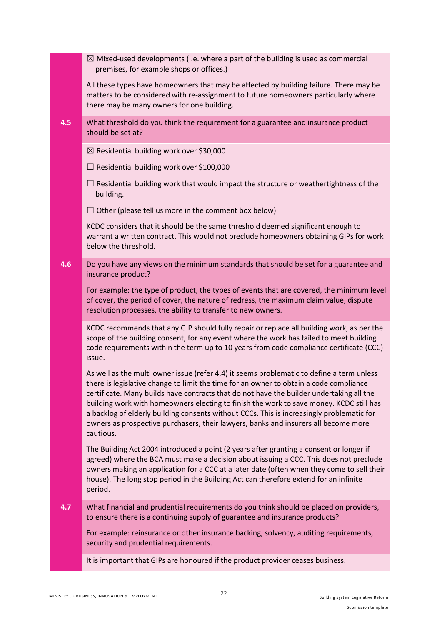|     | $\boxtimes$ Mixed-used developments (i.e. where a part of the building is used as commercial<br>premises, for example shops or offices.)                                                                                                                                                                                                                                                                                                                                                                                                                                    |
|-----|-----------------------------------------------------------------------------------------------------------------------------------------------------------------------------------------------------------------------------------------------------------------------------------------------------------------------------------------------------------------------------------------------------------------------------------------------------------------------------------------------------------------------------------------------------------------------------|
|     | All these types have homeowners that may be affected by building failure. There may be<br>matters to be considered with re-assignment to future homeowners particularly where<br>there may be many owners for one building.                                                                                                                                                                                                                                                                                                                                                 |
| 4.5 | What threshold do you think the requirement for a guarantee and insurance product<br>should be set at?                                                                                                                                                                                                                                                                                                                                                                                                                                                                      |
|     | $\boxtimes$ Residential building work over \$30,000                                                                                                                                                                                                                                                                                                                                                                                                                                                                                                                         |
|     | $\Box$ Residential building work over \$100,000                                                                                                                                                                                                                                                                                                                                                                                                                                                                                                                             |
|     | $\Box$ Residential building work that would impact the structure or weathertightness of the<br>building.                                                                                                                                                                                                                                                                                                                                                                                                                                                                    |
|     | $\Box$ Other (please tell us more in the comment box below)                                                                                                                                                                                                                                                                                                                                                                                                                                                                                                                 |
|     | KCDC considers that it should be the same threshold deemed significant enough to<br>warrant a written contract. This would not preclude homeowners obtaining GIPs for work<br>below the threshold.                                                                                                                                                                                                                                                                                                                                                                          |
| 4.6 | Do you have any views on the minimum standards that should be set for a guarantee and<br>insurance product?                                                                                                                                                                                                                                                                                                                                                                                                                                                                 |
|     | For example: the type of product, the types of events that are covered, the minimum level<br>of cover, the period of cover, the nature of redress, the maximum claim value, dispute<br>resolution processes, the ability to transfer to new owners.                                                                                                                                                                                                                                                                                                                         |
|     |                                                                                                                                                                                                                                                                                                                                                                                                                                                                                                                                                                             |
|     | KCDC recommends that any GIP should fully repair or replace all building work, as per the<br>scope of the building consent, for any event where the work has failed to meet building<br>code requirements within the term up to 10 years from code compliance certificate (CCC)<br>issue.                                                                                                                                                                                                                                                                                   |
|     | As well as the multi owner issue (refer 4.4) it seems problematic to define a term unless<br>there is legislative change to limit the time for an owner to obtain a code compliance<br>certificate. Many builds have contracts that do not have the builder undertaking all the<br>building work with homeowners electing to finish the work to save money. KCDC still has<br>a backlog of elderly building consents without CCCs. This is increasingly problematic for<br>owners as prospective purchasers, their lawyers, banks and insurers all become more<br>cautious. |
|     | The Building Act 2004 introduced a point (2 years after granting a consent or longer if<br>agreed) where the BCA must make a decision about issuing a CCC. This does not preclude<br>owners making an application for a CCC at a later date (often when they come to sell their<br>house). The long stop period in the Building Act can therefore extend for an infinite<br>period.                                                                                                                                                                                         |
| 4.7 | What financial and prudential requirements do you think should be placed on providers,                                                                                                                                                                                                                                                                                                                                                                                                                                                                                      |
|     | to ensure there is a continuing supply of guarantee and insurance products?<br>For example: reinsurance or other insurance backing, solvency, auditing requirements,<br>security and prudential requirements.                                                                                                                                                                                                                                                                                                                                                               |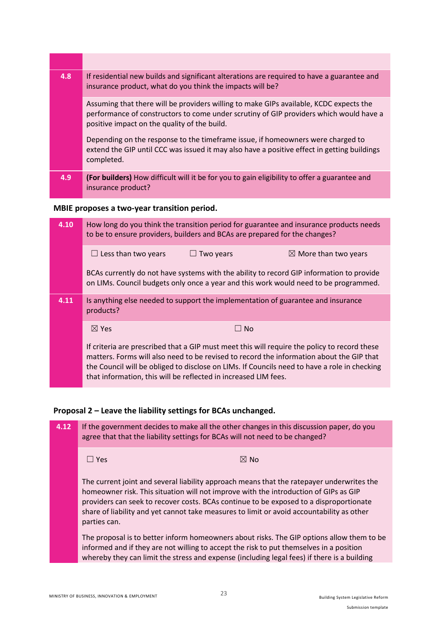| 4.8 | If residential new builds and significant alterations are required to have a guarantee and<br>insurance product, what do you think the impacts will be?                                                                          |
|-----|----------------------------------------------------------------------------------------------------------------------------------------------------------------------------------------------------------------------------------|
|     | Assuming that there will be providers willing to make GIPs available, KCDC expects the<br>performance of constructors to come under scrutiny of GIP providers which would have a<br>positive impact on the quality of the build. |
|     | Depending on the response to the timeframe issue, if homeowners were charged to<br>extend the GIP until CCC was issued it may also have a positive effect in getting buildings<br>completed.                                     |
| 4.9 | (For builders) How difficult will it be for you to gain eligibility to offer a guarantee and<br>insurance product?                                                                                                               |

# **MBIE proposes a two-year transition period.**

| 4.10 | How long do you think the transition period for guarantee and insurance products needs<br>to be to ensure providers, builders and BCAs are prepared for the changes?                                                                                                                                                                                        |  |  |
|------|-------------------------------------------------------------------------------------------------------------------------------------------------------------------------------------------------------------------------------------------------------------------------------------------------------------------------------------------------------------|--|--|
|      | $\Box$ Less than two years<br>$\Box$ Two years<br>$\boxtimes$ More than two years                                                                                                                                                                                                                                                                           |  |  |
|      | BCAs currently do not have systems with the ability to record GIP information to provide<br>on LIMs. Council budgets only once a year and this work would need to be programmed.                                                                                                                                                                            |  |  |
| 4.11 | Is anything else needed to support the implementation of guarantee and insurance<br>products?                                                                                                                                                                                                                                                               |  |  |
|      | $\boxtimes$ Yes<br>⊟ No                                                                                                                                                                                                                                                                                                                                     |  |  |
|      | If criteria are prescribed that a GIP must meet this will require the policy to record these<br>matters. Forms will also need to be revised to record the information about the GIP that<br>the Council will be obliged to disclose on LIMs. If Councils need to have a role in checking<br>that information, this will be reflected in increased LIM fees. |  |  |

# **Proposal 2 – Leave the liability settings for BCAs unchanged.**

| 4.12 | If the government decides to make all the other changes in this discussion paper, do you<br>agree that that the liability settings for BCAs will not need to be changed?                                                                                                                                                                                                                 |  |
|------|------------------------------------------------------------------------------------------------------------------------------------------------------------------------------------------------------------------------------------------------------------------------------------------------------------------------------------------------------------------------------------------|--|
|      | $\boxtimes$ No<br>$\Box$ Yes                                                                                                                                                                                                                                                                                                                                                             |  |
|      | The current joint and several liability approach means that the ratepayer underwrites the<br>homeowner risk. This situation will not improve with the introduction of GIPs as GIP<br>providers can seek to recover costs. BCAs continue to be exposed to a disproportionate<br>share of liability and yet cannot take measures to limit or avoid accountability as other<br>parties can. |  |
|      | The proposal is to better inform homeowners about risks. The GIP options allow them to be<br>informed and if they are not willing to accept the risk to put themselves in a position<br>whereby they can limit the stress and expense (including legal fees) if there is a building                                                                                                      |  |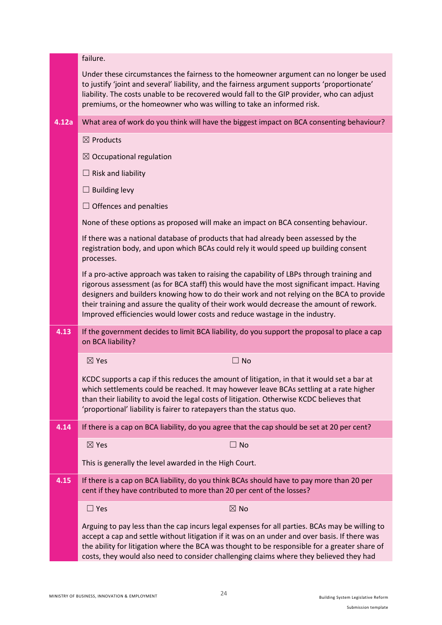|       | failure.                                                                                                                                                                                                                                                                                                                                                                                                                                                        |
|-------|-----------------------------------------------------------------------------------------------------------------------------------------------------------------------------------------------------------------------------------------------------------------------------------------------------------------------------------------------------------------------------------------------------------------------------------------------------------------|
|       | Under these circumstances the fairness to the homeowner argument can no longer be used<br>to justify 'joint and several' liability, and the fairness argument supports 'proportionate'<br>liability. The costs unable to be recovered would fall to the GIP provider, who can adjust<br>premiums, or the homeowner who was willing to take an informed risk.                                                                                                    |
| 4.12a | What area of work do you think will have the biggest impact on BCA consenting behaviour?                                                                                                                                                                                                                                                                                                                                                                        |
|       | $\boxtimes$ Products                                                                                                                                                                                                                                                                                                                                                                                                                                            |
|       | $\boxtimes$ Occupational regulation                                                                                                                                                                                                                                                                                                                                                                                                                             |
|       | $\Box$ Risk and liability                                                                                                                                                                                                                                                                                                                                                                                                                                       |
|       | $\Box$ Building levy                                                                                                                                                                                                                                                                                                                                                                                                                                            |
|       | $\Box$ Offences and penalties                                                                                                                                                                                                                                                                                                                                                                                                                                   |
|       | None of these options as proposed will make an impact on BCA consenting behaviour.                                                                                                                                                                                                                                                                                                                                                                              |
|       | If there was a national database of products that had already been assessed by the<br>registration body, and upon which BCAs could rely it would speed up building consent<br>processes.                                                                                                                                                                                                                                                                        |
|       | If a pro-active approach was taken to raising the capability of LBPs through training and<br>rigorous assessment (as for BCA staff) this would have the most significant impact. Having<br>designers and builders knowing how to do their work and not relying on the BCA to provide<br>their training and assure the quality of their work would decrease the amount of rework.<br>Improved efficiencies would lower costs and reduce wastage in the industry. |
| 4.13  | If the government decides to limit BCA liability, do you support the proposal to place a cap<br>on BCA liability?                                                                                                                                                                                                                                                                                                                                               |
|       | $\boxtimes$ Yes<br>$\Box$ No                                                                                                                                                                                                                                                                                                                                                                                                                                    |
|       | KCDC supports a cap if this reduces the amount of litigation, in that it would set a bar at<br>which settlements could be reached. It may however leave BCAs settling at a rate higher<br>than their liability to avoid the legal costs of litigation. Otherwise KCDC believes that<br>'proportional' liability is fairer to ratepayers than the status quo.                                                                                                    |
| 4.14  | If there is a cap on BCA liability, do you agree that the cap should be set at 20 per cent?                                                                                                                                                                                                                                                                                                                                                                     |
|       | $\boxtimes$ Yes<br>$\Box$ No                                                                                                                                                                                                                                                                                                                                                                                                                                    |
|       | This is generally the level awarded in the High Court.                                                                                                                                                                                                                                                                                                                                                                                                          |
| 4.15  | If there is a cap on BCA liability, do you think BCAs should have to pay more than 20 per<br>cent if they have contributed to more than 20 per cent of the losses?                                                                                                                                                                                                                                                                                              |
|       | $\Box$ Yes<br>$\boxtimes$ No                                                                                                                                                                                                                                                                                                                                                                                                                                    |
|       | Arguing to pay less than the cap incurs legal expenses for all parties. BCAs may be willing to<br>accept a cap and settle without litigation if it was on an under and over basis. If there was<br>the ability for litigation where the BCA was thought to be responsible for a greater share of<br>costs, they would also need to consider challenging claims where they believed they had                                                                     |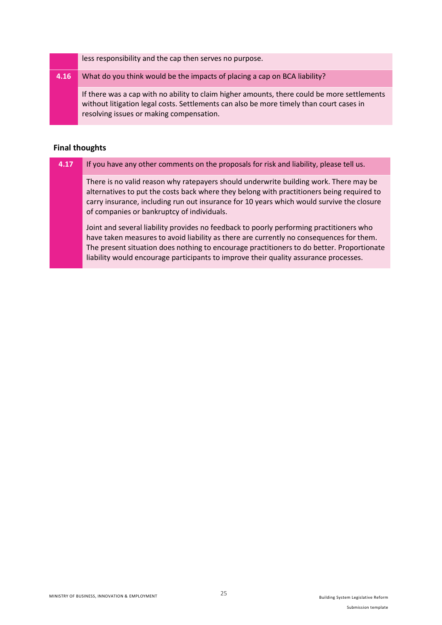less responsibility and the cap then serves no purpose.

#### **4.16** What do you think would be the impacts of placing a cap on BCA liability?

If there was a cap with no ability to claim higher amounts, there could be more settlements without litigation legal costs. Settlements can also be more timely than court cases in resolving issues or making compensation.

#### **Final thoughts**

| 4.17 | If you have any other comments on the proposals for risk and liability, please tell us.                                                                                                                                                                                                                                       |
|------|-------------------------------------------------------------------------------------------------------------------------------------------------------------------------------------------------------------------------------------------------------------------------------------------------------------------------------|
|      | There is no valid reason why ratepayers should underwrite building work. There may be<br>alternatives to put the costs back where they belong with practitioners being required to<br>carry insurance, including run out insurance for 10 years which would survive the closure<br>of companies or bankruptcy of individuals. |
|      | Joint and several liability provides no feedback to poorly performing practitioners who<br>have taken measures to avoid liability as there are currently no consequences for them.<br>The present situation does nothing to encourage practitioners to do better. Proportionate                                               |

liability would encourage participants to improve their quality assurance processes.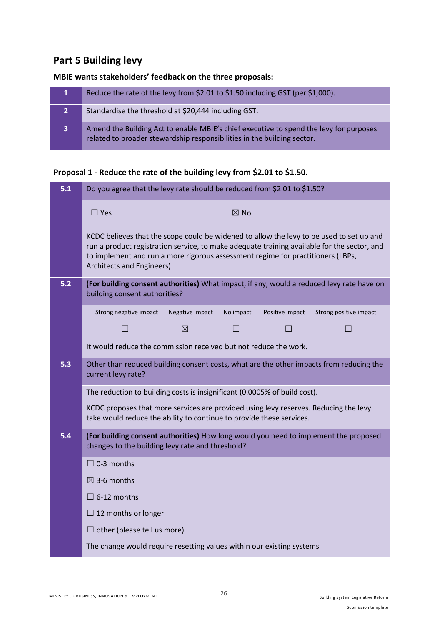# **Part 5 Building levy**

# **MBIE wants stakeholders' feedback on the three proposals:**

|                | Reduce the rate of the levy from \$2.01 to \$1.50 including GST (per \$1,000).                                                                                    |
|----------------|-------------------------------------------------------------------------------------------------------------------------------------------------------------------|
| $\overline{2}$ | Standardise the threshold at \$20,444 including GST.                                                                                                              |
| $\overline{3}$ | Amend the Building Act to enable MBIE's chief executive to spend the levy for purposes<br>related to broader stewardship responsibilities in the building sector. |

# **Proposal 1 - Reduce the rate of the building levy from \$2.01 to \$1.50.**

| 5.1 | Do you agree that the levy rate should be reduced from \$2.01 to \$1.50?                                                                                                                                                                                                                                |                 |                |                 |                        |
|-----|---------------------------------------------------------------------------------------------------------------------------------------------------------------------------------------------------------------------------------------------------------------------------------------------------------|-----------------|----------------|-----------------|------------------------|
|     | $\Box$ Yes                                                                                                                                                                                                                                                                                              |                 | $\boxtimes$ No |                 |                        |
|     | KCDC believes that the scope could be widened to allow the levy to be used to set up and<br>run a product registration service, to make adequate training available for the sector, and<br>to implement and run a more rigorous assessment regime for practitioners (LBPs,<br>Architects and Engineers) |                 |                |                 |                        |
| 5.2 | (For building consent authorities) What impact, if any, would a reduced levy rate have on<br>building consent authorities?                                                                                                                                                                              |                 |                |                 |                        |
|     | Strong negative impact                                                                                                                                                                                                                                                                                  | Negative impact | No impact      | Positive impact | Strong positive impact |
|     | $\vert \ \ \vert$                                                                                                                                                                                                                                                                                       | ⊠               | $\Box$         |                 |                        |
|     | It would reduce the commission received but not reduce the work.                                                                                                                                                                                                                                        |                 |                |                 |                        |
| 5.3 | Other than reduced building consent costs, what are the other impacts from reducing the<br>current levy rate?                                                                                                                                                                                           |                 |                |                 |                        |
|     | The reduction to building costs is insignificant (0.0005% of build cost).                                                                                                                                                                                                                               |                 |                |                 |                        |
|     | KCDC proposes that more services are provided using levy reserves. Reducing the levy<br>take would reduce the ability to continue to provide these services.                                                                                                                                            |                 |                |                 |                        |
| 5.4 | (For building consent authorities) How long would you need to implement the proposed<br>changes to the building levy rate and threshold?                                                                                                                                                                |                 |                |                 |                        |
|     | $\Box$ 0-3 months                                                                                                                                                                                                                                                                                       |                 |                |                 |                        |
|     | $\boxtimes$ 3-6 months                                                                                                                                                                                                                                                                                  |                 |                |                 |                        |
|     | $\Box$ 6-12 months                                                                                                                                                                                                                                                                                      |                 |                |                 |                        |
|     | $\Box$ 12 months or longer                                                                                                                                                                                                                                                                              |                 |                |                 |                        |
|     | $\Box$ other (please tell us more)                                                                                                                                                                                                                                                                      |                 |                |                 |                        |
|     | The change would require resetting values within our existing systems                                                                                                                                                                                                                                   |                 |                |                 |                        |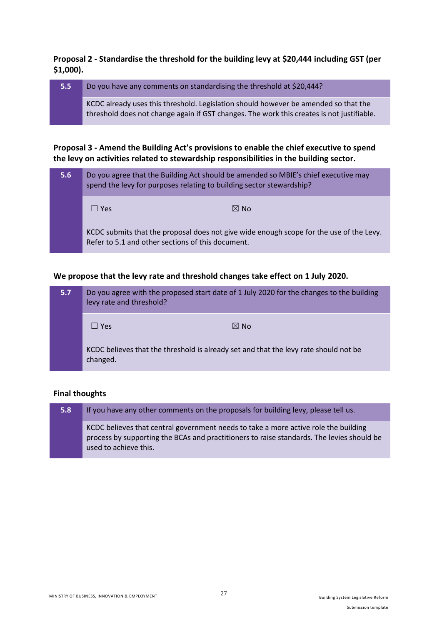## **Proposal 2 - Standardise the threshold for the building levy at \$20,444 including GST (per \$1,000).**

| $5.5^{\circ}$ | Do you have any comments on standardising the threshold at \$20,444?                                                                                                             |
|---------------|----------------------------------------------------------------------------------------------------------------------------------------------------------------------------------|
|               | KCDC already uses this threshold. Legislation should however be amended so that the<br>threshold does not change again if GST changes. The work this creates is not justifiable. |

## **Proposal 3 - Amend the Building Act's provisions to enable the chief executive to spend the levy on activities related to stewardship responsibilities in the building sector.**

| 5.6 | Do you agree that the Building Act should be amended so MBIE's chief executive may<br>spend the levy for purposes relating to building sector stewardship? |                |  |
|-----|------------------------------------------------------------------------------------------------------------------------------------------------------------|----------------|--|
|     | l I Yes                                                                                                                                                    | $\boxtimes$ No |  |
|     | KCDC submits that the proposal does not give wide enough scope for the use of the Levy.<br>Refer to 5.1 and other sections of this document.               |                |  |

## **We propose that the levy rate and threshold changes take effect on 1 July 2020.**

| 5.7 | Do you agree with the proposed start date of 1 July 2020 for the changes to the building<br>levy rate and threshold? |                |
|-----|----------------------------------------------------------------------------------------------------------------------|----------------|
|     | $\Box$ Yes                                                                                                           | $\boxtimes$ No |
|     | KCDC believes that the threshold is already set and that the levy rate should not be<br>changed.                     |                |

## **Final thoughts**

| 5.8 | If you have any other comments on the proposals for building levy, please tell us.                                                                                                                        |
|-----|-----------------------------------------------------------------------------------------------------------------------------------------------------------------------------------------------------------|
|     | KCDC believes that central government needs to take a more active role the building<br>process by supporting the BCAs and practitioners to raise standards. The levies should be<br>used to achieve this. |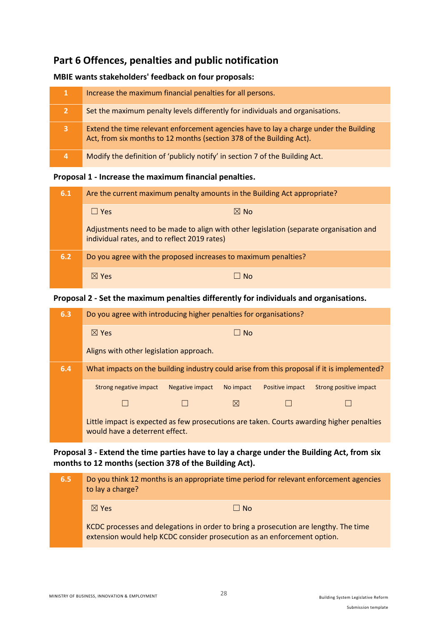# **Part 6 Offences, penalties and public notification**

### **MBIE wants stakeholders' feedback on four proposals:**

| 1              | Increase the maximum financial penalties for all persons.                                                                                                     |
|----------------|---------------------------------------------------------------------------------------------------------------------------------------------------------------|
| $\overline{2}$ | Set the maximum penalty levels differently for individuals and organisations.                                                                                 |
| 3              | Extend the time relevant enforcement agencies have to lay a charge under the Building<br>Act, from six months to 12 months (section 378 of the Building Act). |
| $\overline{a}$ | Modify the definition of 'publicly notify' in section 7 of the Building Act.                                                                                  |

#### **Proposal 1 - Increase the maximum financial penalties.**

| 6.1 | Are the current maximum penalty amounts in the Building Act appropriate?                                                               |  |  |
|-----|----------------------------------------------------------------------------------------------------------------------------------------|--|--|
|     | $\boxtimes$ No<br>$\Box$ Yes                                                                                                           |  |  |
|     | Adjustments need to be made to align with other legislation (separate organisation and<br>individual rates, and to reflect 2019 rates) |  |  |
| 6.2 | Do you agree with the proposed increases to maximum penalties?                                                                         |  |  |
|     | $\boxtimes$ Yes<br>$\overline{\phantom{a}}$ No                                                                                         |  |  |

## **Proposal 2 - Set the maximum penalties differently for individuals and organisations.**

| 6.3                                                                                               | Do you agree with introducing higher penalties for organisations?                                                           |                 |             |                 |                        |
|---------------------------------------------------------------------------------------------------|-----------------------------------------------------------------------------------------------------------------------------|-----------------|-------------|-----------------|------------------------|
|                                                                                                   | $\boxtimes$ Yes                                                                                                             |                 | $\Box$ No   |                 |                        |
|                                                                                                   | Aligns with other legislation approach.                                                                                     |                 |             |                 |                        |
| 6.4<br>What impacts on the building industry could arise from this proposal if it is implemented? |                                                                                                                             |                 |             |                 |                        |
|                                                                                                   | Strong negative impact                                                                                                      | Negative impact | No impact   | Positive impact | Strong positive impact |
|                                                                                                   |                                                                                                                             |                 | $\boxtimes$ |                 |                        |
|                                                                                                   | Little impact is expected as few prosecutions are taken. Courts awarding higher penalties<br>would have a deterrent effect. |                 |             |                 |                        |

## **Proposal 3 - Extend the time parties have to lay a charge under the Building Act, from six months to 12 months (section 378 of the Building Act).**

**6.5** Do you think 12 months is an appropriate time period for relevant enforcement agencies to lay a charge?  $\boxtimes$  Yes  $\Box$  No. KCDC processes and delegations in order to bring a prosecution are lengthy. The time extension would help KCDC consider prosecution as an enforcement option.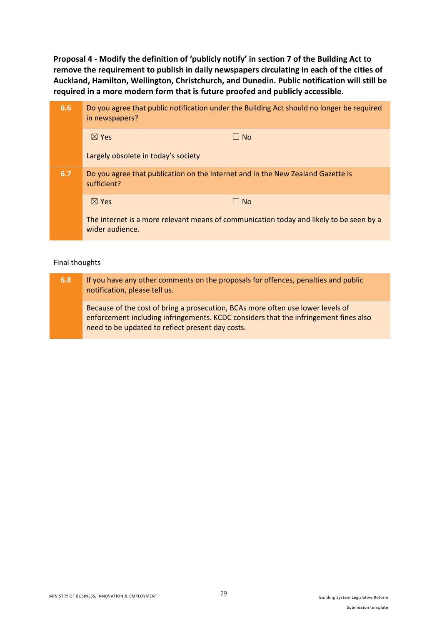**Proposal 4 - Modify the definition of 'publicly notify' in section 7 of the Building Act to remove the requirement to publish in daily newspapers circulating in each of the cities of Auckland, Hamilton, Wellington, Christchurch, and Dunedin. Public notification will still be required in a more modern form that is future proofed and publicly accessible.**

| 6.6 | Do you agree that public notification under the Building Act should no longer be required<br>in newspapers? |           |  |
|-----|-------------------------------------------------------------------------------------------------------------|-----------|--|
|     | $\boxtimes$ Yes                                                                                             | $\Box$ No |  |
|     | Largely obsolete in today's society                                                                         |           |  |
| 6.7 | Do you agree that publication on the internet and in the New Zealand Gazette is<br>sufficient?              |           |  |
|     | $\boxtimes$ Yes                                                                                             | $\Box$ No |  |
|     | The internet is a more relevant means of communication today and likely to be seen by a<br>wider audience.  |           |  |

#### Final thoughts

| 6.8 | If you have any other comments on the proposals for offences, penalties and public<br>notification, please tell us.                                                                                                         |
|-----|-----------------------------------------------------------------------------------------------------------------------------------------------------------------------------------------------------------------------------|
|     | Because of the cost of bring a prosecution, BCAs more often use lower levels of<br>enforcement including infringements. KCDC considers that the infringement fines also<br>need to be updated to reflect present day costs. |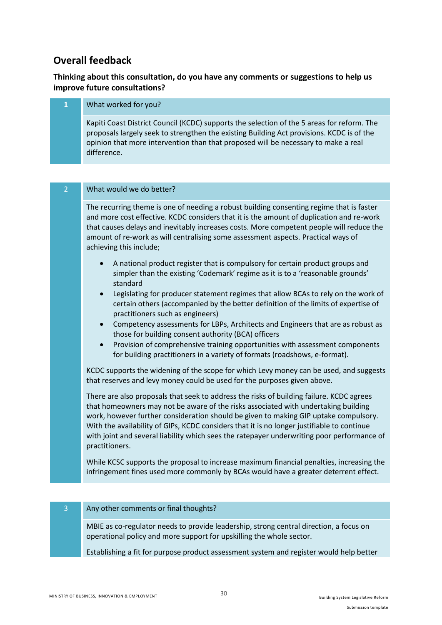# **Overall feedback**

## **Thinking about this consultation, do you have any comments or suggestions to help us improve future consultations?**

| 1              | What worked for you?                                                                                                                                                                                                                                                                                                                                                                             |
|----------------|--------------------------------------------------------------------------------------------------------------------------------------------------------------------------------------------------------------------------------------------------------------------------------------------------------------------------------------------------------------------------------------------------|
|                | Kapiti Coast District Council (KCDC) supports the selection of the 5 areas for reform. The<br>proposals largely seek to strengthen the existing Building Act provisions. KCDC is of the<br>opinion that more intervention than that proposed will be necessary to make a real<br>difference.                                                                                                     |
|                |                                                                                                                                                                                                                                                                                                                                                                                                  |
| $\overline{2}$ | What would we do better?                                                                                                                                                                                                                                                                                                                                                                         |
|                | The recurring theme is one of needing a robust building consenting regime that is faster<br>and more cost effective. KCDC considers that it is the amount of duplication and re-work<br>that causes delays and inevitably increases costs. More competent people will reduce the<br>amount of re-work as will centralising some assessment aspects. Practical ways of<br>achieving this include; |

- A national product register that is compulsory for certain product groups and simpler than the existing 'Codemark' regime as it is to a 'reasonable grounds' standard
- Legislating for producer statement regimes that allow BCAs to rely on the work of certain others (accompanied by the better definition of the limits of expertise of practitioners such as engineers)
- Competency assessments for LBPs, Architects and Engineers that are as robust as those for building consent authority (BCA) officers
- Provision of comprehensive training opportunities with assessment components for building practitioners in a variety of formats (roadshows, e-format).

KCDC supports the widening of the scope for which Levy money can be used, and suggests that reserves and levy money could be used for the purposes given above.

There are also proposals that seek to address the risks of building failure. KCDC agrees that homeowners may not be aware of the risks associated with undertaking building work, however further consideration should be given to making GIP uptake compulsory. With the availability of GIPs, KCDC considers that it is no longer justifiable to continue with joint and several liability which sees the ratepayer underwriting poor performance of practitioners.

While KCSC supports the proposal to increase maximum financial penalties, increasing the infringement fines used more commonly by BCAs would have a greater deterrent effect.

#### Any other comments or final thoughts?

MBIE as co-regulator needs to provide leadership, strong central direction, a focus on operational policy and more support for upskilling the whole sector.

Establishing a fit for purpose product assessment system and register would help better